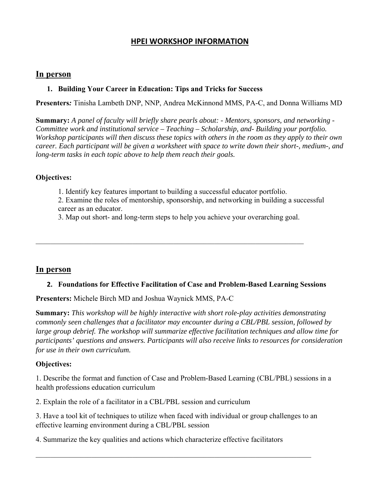## **HPEI WORKSHOP INFORMATION**

### **In person**

### **1. Building Your Career in Education: Tips and Tricks for Success**

**Presenters***:* Tinisha Lambeth DNP, NNP, Andrea McKinnond MMS, PA-C, and Donna Williams MD

**Summary:** *A panel of faculty will briefly share pearls about: - Mentors, sponsors, and networking - Committee work and institutional service – Teaching – Scholarship, and- Building your portfolio. Workshop participants will then discuss these topics with others in the room as they apply to their own career. Each participant will be given a worksheet with space to write down their short-, medium-, and long-term tasks in each topic above to help them reach their goals.*

### **Objectives:**

1. Identify key features important to building a successful educator portfolio.

 $\_$  , and the contribution of the contribution of  $\mathcal{L}_\mathcal{A}$  , and the contribution of  $\mathcal{L}_\mathcal{A}$ 

- 2. Examine the roles of mentorship, sponsorship, and networking in building a successful career as an educator.
- 3. Map out short- and long-term steps to help you achieve your overarching goal.

# **In person**

#### **2. Foundations for Effective Facilitation of Case and Problem-Based Learning Sessions**

**Presenters:** Michele Birch MD and Joshua Waynick MMS, PA-C

**Summary:** *This workshop will be highly interactive with short role-play activities demonstrating commonly seen challenges that a facilitator may encounter during a CBL/PBL session, followed by large group debrief. The workshop will summarize effective facilitation techniques and allow time for participants' questions and answers. Participants will also receive links to resources for consideration for use in their own curriculum.*

### **Objectives:**

1. Describe the format and function of Case and Problem-Based Learning (CBL/PBL) sessions in a health professions education curriculum

2. Explain the role of a facilitator in a CBL/PBL session and curriculum

3. Have a tool kit of techniques to utilize when faced with individual or group challenges to an effective learning environment during a CBL/PBL session

4. Summarize the key qualities and actions which characterize effective facilitators